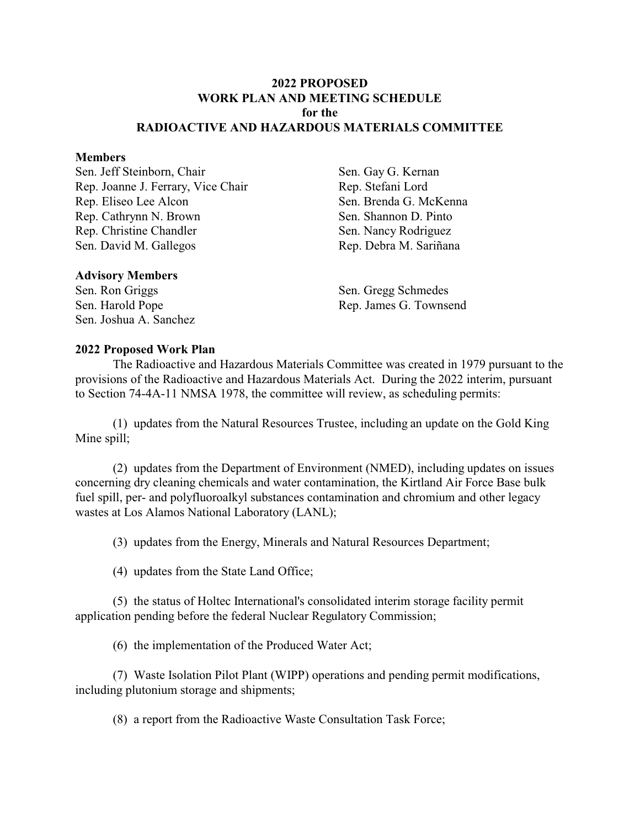## **2022 PROPOSED WORK PLAN AND MEETING SCHEDULE for the RADIOACTIVE AND HAZARDOUS MATERIALS COMMITTEE**

#### **Members**

Sen. Jeff Steinborn, Chair Rep. Joanne J. Ferrary, Vice Chair Rep. Eliseo Lee Alcon Rep. Cathrynn N. Brown Rep. Christine Chandler Sen. David M. Gallegos

Sen. Gay G. Kernan Rep. Stefani Lord Sen. Brenda G. McKenna Sen. Shannon D. Pinto Sen. Nancy Rodriguez Rep. Debra M. Sariñana

### **Advisory Members**

Sen. Ron Griggs Sen. Harold Pope Sen. Joshua A. Sanchez Sen. Gregg Schmedes Rep. James G. Townsend

#### **2022 Proposed Work Plan**

The Radioactive and Hazardous Materials Committee was created in 1979 pursuant to the provisions of the Radioactive and Hazardous Materials Act. During the 2022 interim, pursuant to Section 74-4A-11 NMSA 1978, the committee will review, as scheduling permits:

(1) updates from the Natural Resources Trustee, including an update on the Gold King Mine spill;

(2) updates from the Department of Environment (NMED), including updates on issues concerning dry cleaning chemicals and water contamination, the Kirtland Air Force Base bulk fuel spill, per- and polyfluoroalkyl substances contamination and chromium and other legacy wastes at Los Alamos National Laboratory (LANL);

(3) updates from the Energy, Minerals and Natural Resources Department;

(4) updates from the State Land Office;

(5) the status of Holtec International's consolidated interim storage facility permit application pending before the federal Nuclear Regulatory Commission;

(6) the implementation of the Produced Water Act;

(7) Waste Isolation Pilot Plant (WIPP) operations and pending permit modifications, including plutonium storage and shipments;

(8) a report from the Radioactive Waste Consultation Task Force;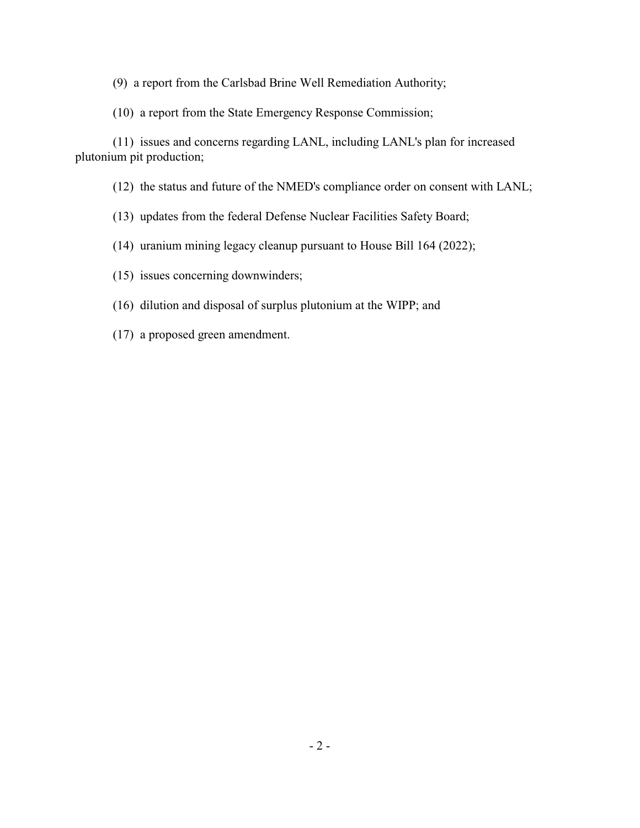(9) a report from the Carlsbad Brine Well Remediation Authority;

(10) a report from the State Emergency Response Commission;

(11) issues and concerns regarding LANL, including LANL's plan for increased plutonium pit production;

(12) the status and future of the NMED's compliance order on consent with LANL;

(13) updates from the federal Defense Nuclear Facilities Safety Board;

(14) uranium mining legacy cleanup pursuant to House Bill 164 (2022);

(15) issues concerning downwinders;

(16) dilution and disposal of surplus plutonium at the WIPP; and

(17) a proposed green amendment.